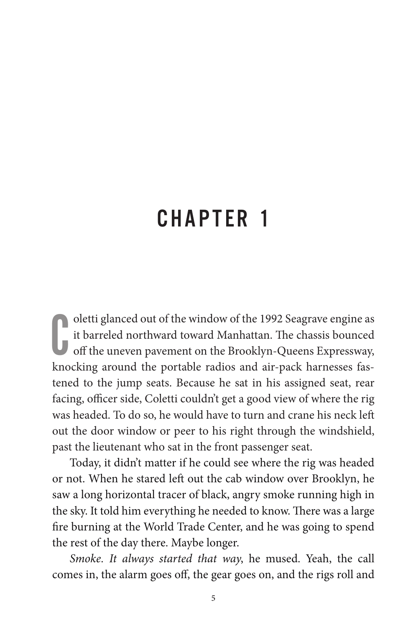## CHAPTER 1

C<br>kno oletti glanced out of the window of the 1992 Seagrave engine as it barreled northward toward Manhattan. The chassis bounced off the uneven pavement on the Brooklyn-Queens Expressway, knocking around the portable radios and air-pack harnesses fastened to the jump seats. Because he sat in his assigned seat, rear facing, officer side, Coletti couldn't get a good view of where the rig was headed. To do so, he would have to turn and crane his neck left out the door window or peer to his right through the windshield, past the lieutenant who sat in the front passenger seat.

Today, it didn't matter if he could see where the rig was headed or not. When he stared left out the cab window over Brooklyn, he saw a long horizontal tracer of black, angry smoke running high in the sky. It told him everything he needed to know. There was a large fire burning at the World Trade Center, and he was going to spend the rest of the day there. Maybe longer.

*Smoke. It always started that way*, he mused. Yeah, the call comes in, the alarm goes off, the gear goes on, and the rigs roll and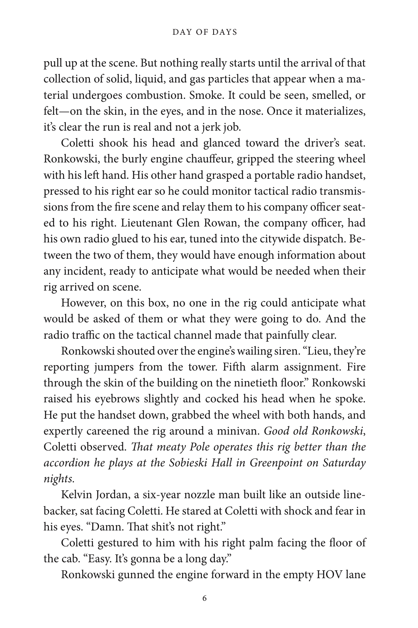pull up at the scene. But nothing really starts until the arrival of that collection of solid, liquid, and gas particles that appear when a material undergoes combustion. Smoke. It could be seen, smelled, or felt—on the skin, in the eyes, and in the nose. Once it materializes, it's clear the run is real and not a jerk job.

Coletti shook his head and glanced toward the driver's seat. Ronkowski, the burly engine chauffeur, gripped the steering wheel with his left hand. His other hand grasped a portable radio handset, pressed to his right ear so he could monitor tactical radio transmissions from the fire scene and relay them to his company officer seated to his right. Lieutenant Glen Rowan, the company officer, had his own radio glued to his ear, tuned into the citywide dispatch. Between the two of them, they would have enough information about any incident, ready to anticipate what would be needed when their rig arrived on scene.

However, on this box, no one in the rig could anticipate what would be asked of them or what they were going to do. And the radio traffic on the tactical channel made that painfully clear.

Ronkowski shouted over the engine's wailing siren. "Lieu, they're reporting jumpers from the tower. Fifth alarm assignment. Fire through the skin of the building on the ninetieth floor." Ronkowski raised his eyebrows slightly and cocked his head when he spoke. He put the handset down, grabbed the wheel with both hands, and expertly careened the rig around a minivan. *Good old Ronkowski*, Coletti observed. *That meaty Pole operates this rig better than the accordion he plays at the Sobieski Hall in Greenpoint on Saturday nights.*

Kelvin Jordan, a six-year nozzle man built like an outside linebacker, sat facing Coletti. He stared at Coletti with shock and fear in his eyes. "Damn. That shit's not right."

Coletti gestured to him with his right palm facing the floor of the cab. "Easy. It's gonna be a long day."

Ronkowski gunned the engine forward in the empty HOV lane